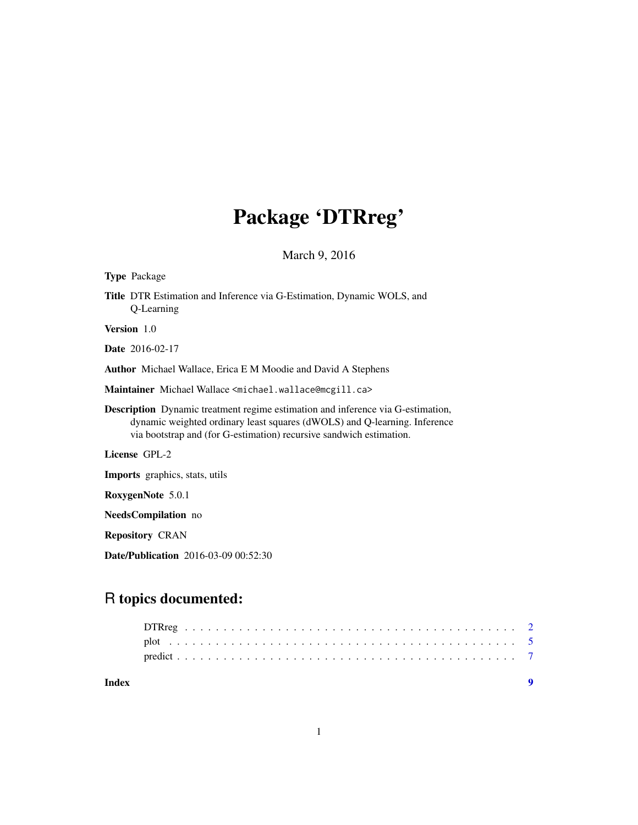# Package 'DTRreg'

March 9, 2016

| <b>Type Package</b>                                                                                                                                                                                                                        |  |  |  |  |  |
|--------------------------------------------------------------------------------------------------------------------------------------------------------------------------------------------------------------------------------------------|--|--|--|--|--|
| Title DTR Estimation and Inference via G-Estimation, Dynamic WOLS, and<br>Q-Learning                                                                                                                                                       |  |  |  |  |  |
| Version 1.0                                                                                                                                                                                                                                |  |  |  |  |  |
| <b>Date</b> 2016-02-17                                                                                                                                                                                                                     |  |  |  |  |  |
| <b>Author</b> Michael Wallace, Erica E M Moodie and David A Stephens                                                                                                                                                                       |  |  |  |  |  |
| Maintainer Michael Wallace <michael.wallace@mcgill.ca></michael.wallace@mcgill.ca>                                                                                                                                                         |  |  |  |  |  |
| <b>Description</b> Dynamic treatment regime estimation and inference via G-estimation,<br>dynamic weighted ordinary least squares (dWOLS) and Q-learning. Inference<br>via bootstrap and (for G-estimation) recursive sandwich estimation. |  |  |  |  |  |
| License GPL-2                                                                                                                                                                                                                              |  |  |  |  |  |
| <b>Imports</b> graphics, stats, utils                                                                                                                                                                                                      |  |  |  |  |  |
| RoxygenNote 5.0.1                                                                                                                                                                                                                          |  |  |  |  |  |
| <b>NeedsCompilation</b> no                                                                                                                                                                                                                 |  |  |  |  |  |
| <b>Repository CRAN</b>                                                                                                                                                                                                                     |  |  |  |  |  |
| <b>Date/Publication</b> 2016-03-09 00:52:30                                                                                                                                                                                                |  |  |  |  |  |

# R topics documented:

| Index |  |  |  |  |  |  |  |  |  |  |  |  |  |  |  |  |  |  |  |  |  |  |
|-------|--|--|--|--|--|--|--|--|--|--|--|--|--|--|--|--|--|--|--|--|--|--|
|       |  |  |  |  |  |  |  |  |  |  |  |  |  |  |  |  |  |  |  |  |  |  |
|       |  |  |  |  |  |  |  |  |  |  |  |  |  |  |  |  |  |  |  |  |  |  |
|       |  |  |  |  |  |  |  |  |  |  |  |  |  |  |  |  |  |  |  |  |  |  |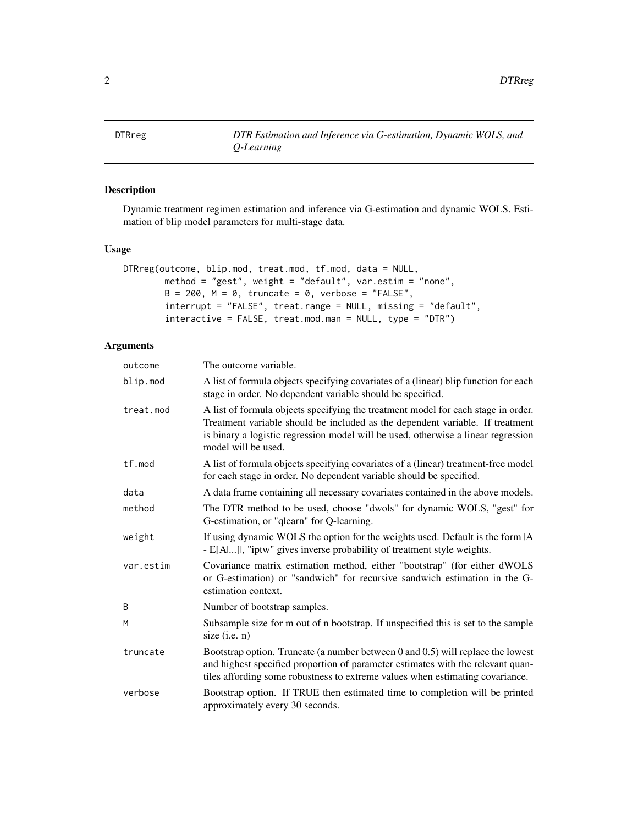<span id="page-1-0"></span>DTRreg *DTR Estimation and Inference via G-estimation, Dynamic WOLS, and Q-Learning*

# Description

Dynamic treatment regimen estimation and inference via G-estimation and dynamic WOLS. Estimation of blip model parameters for multi-stage data.

# Usage

```
DTRreg(outcome, blip.mod, treat.mod, tf.mod, data = NULL,
        method = "gest", weight = "default", var.estim = "none",
        B = 200, M = 0, truncate = 0, verbose = "FALSE",
        interrupt = "FALSE", treat.range = NULL, missing = "default",
        interactive = FALSE, treat.mod.man = NULL, type = "DTR")
```
# Arguments

| outcome   | The outcome variable.                                                                                                                                                                                                                                                          |
|-----------|--------------------------------------------------------------------------------------------------------------------------------------------------------------------------------------------------------------------------------------------------------------------------------|
| blip.mod  | A list of formula objects specifying covariates of a (linear) blip function for each<br>stage in order. No dependent variable should be specified.                                                                                                                             |
| treat.mod | A list of formula objects specifying the treatment model for each stage in order.<br>Treatment variable should be included as the dependent variable. If treatment<br>is binary a logistic regression model will be used, otherwise a linear regression<br>model will be used. |
| tf.mod    | A list of formula objects specifying covariates of a (linear) treatment-free model<br>for each stage in order. No dependent variable should be specified.                                                                                                                      |
| data      | A data frame containing all necessary covariates contained in the above models.                                                                                                                                                                                                |
| method    | The DTR method to be used, choose "dwols" for dynamic WOLS, "gest" for<br>G-estimation, or "qlearn" for Q-learning.                                                                                                                                                            |
| weight    | If using dynamic WOLS the option for the weights used. Default is the form  A<br>- E[Al], "iptw" gives inverse probability of treatment style weights.                                                                                                                         |
| var.estim | Covariance matrix estimation method, either "bootstrap" (for either dWOLS<br>or G-estimation) or "sandwich" for recursive sandwich estimation in the G-<br>estimation context.                                                                                                 |
| B         | Number of bootstrap samples.                                                                                                                                                                                                                                                   |
| M         | Subsample size for m out of n bootstrap. If unspecified this is set to the sample<br>size $(i.e. n)$                                                                                                                                                                           |
| truncate  | Bootstrap option. Truncate (a number between 0 and 0.5) will replace the lowest<br>and highest specified proportion of parameter estimates with the relevant quan-<br>tiles affording some robustness to extreme values when estimating covariance.                            |
| verbose   | Bootstrap option. If TRUE then estimated time to completion will be printed<br>approximately every 30 seconds.                                                                                                                                                                 |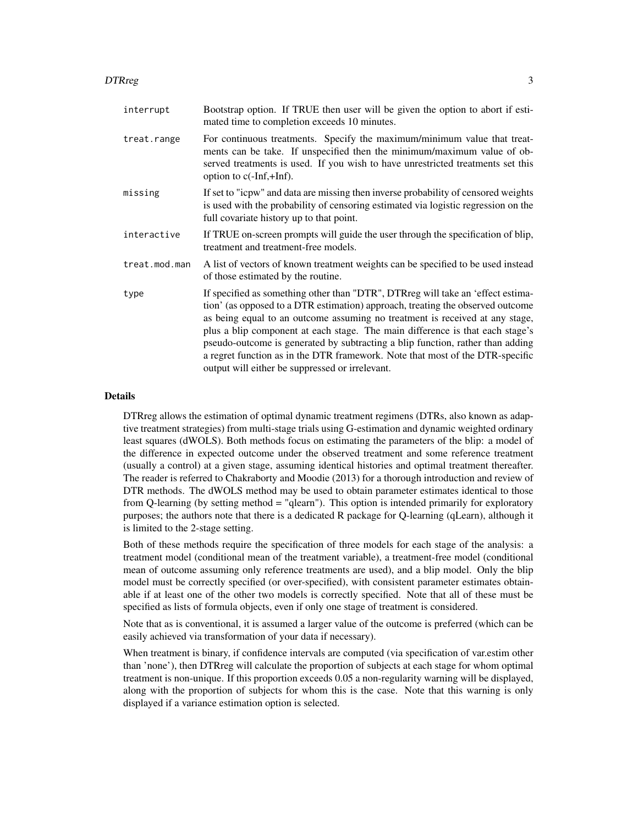#### DTRreg 3

| interrupt     | Bootstrap option. If TRUE then user will be given the option to abort if esti-<br>mated time to completion exceeds 10 minutes.                                                                                                                                                                                                                                                                                                                                                                                                                           |
|---------------|----------------------------------------------------------------------------------------------------------------------------------------------------------------------------------------------------------------------------------------------------------------------------------------------------------------------------------------------------------------------------------------------------------------------------------------------------------------------------------------------------------------------------------------------------------|
| treat.range   | For continuous treatments. Specify the maximum/minimum value that treat-<br>ments can be take. If unspecified then the minimum/maximum value of ob-<br>served treatments is used. If you wish to have unrestricted treatments set this<br>option to $c(-Inf,+Inf)$ .                                                                                                                                                                                                                                                                                     |
| missing       | If set to "icpw" and data are missing then inverse probability of censored weights<br>is used with the probability of censoring estimated via logistic regression on the<br>full covariate history up to that point.                                                                                                                                                                                                                                                                                                                                     |
| interactive   | If TRUE on-screen prompts will guide the user through the specification of blip,<br>treatment and treatment-free models.                                                                                                                                                                                                                                                                                                                                                                                                                                 |
| treat.mod.man | A list of vectors of known treatment weights can be specified to be used instead<br>of those estimated by the routine.                                                                                                                                                                                                                                                                                                                                                                                                                                   |
| type          | If specified as something other than "DTR", DTRreg will take an 'effect estima-<br>tion' (as opposed to a DTR estimation) approach, treating the observed outcome<br>as being equal to an outcome assuming no treatment is received at any stage,<br>plus a blip component at each stage. The main difference is that each stage's<br>pseudo-outcome is generated by subtracting a blip function, rather than adding<br>a regret function as in the DTR framework. Note that most of the DTR-specific<br>output will either be suppressed or irrelevant. |

# Details

DTRreg allows the estimation of optimal dynamic treatment regimens (DTRs, also known as adaptive treatment strategies) from multi-stage trials using G-estimation and dynamic weighted ordinary least squares (dWOLS). Both methods focus on estimating the parameters of the blip: a model of the difference in expected outcome under the observed treatment and some reference treatment (usually a control) at a given stage, assuming identical histories and optimal treatment thereafter. The reader is referred to Chakraborty and Moodie (2013) for a thorough introduction and review of DTR methods. The dWOLS method may be used to obtain parameter estimates identical to those from Q-learning (by setting method = "qlearn"). This option is intended primarily for exploratory purposes; the authors note that there is a dedicated R package for Q-learning (qLearn), although it is limited to the 2-stage setting.

Both of these methods require the specification of three models for each stage of the analysis: a treatment model (conditional mean of the treatment variable), a treatment-free model (conditional mean of outcome assuming only reference treatments are used), and a blip model. Only the blip model must be correctly specified (or over-specified), with consistent parameter estimates obtainable if at least one of the other two models is correctly specified. Note that all of these must be specified as lists of formula objects, even if only one stage of treatment is considered.

Note that as is conventional, it is assumed a larger value of the outcome is preferred (which can be easily achieved via transformation of your data if necessary).

When treatment is binary, if confidence intervals are computed (via specification of var.estim other than 'none'), then DTRreg will calculate the proportion of subjects at each stage for whom optimal treatment is non-unique. If this proportion exceeds 0.05 a non-regularity warning will be displayed, along with the proportion of subjects for whom this is the case. Note that this warning is only displayed if a variance estimation option is selected.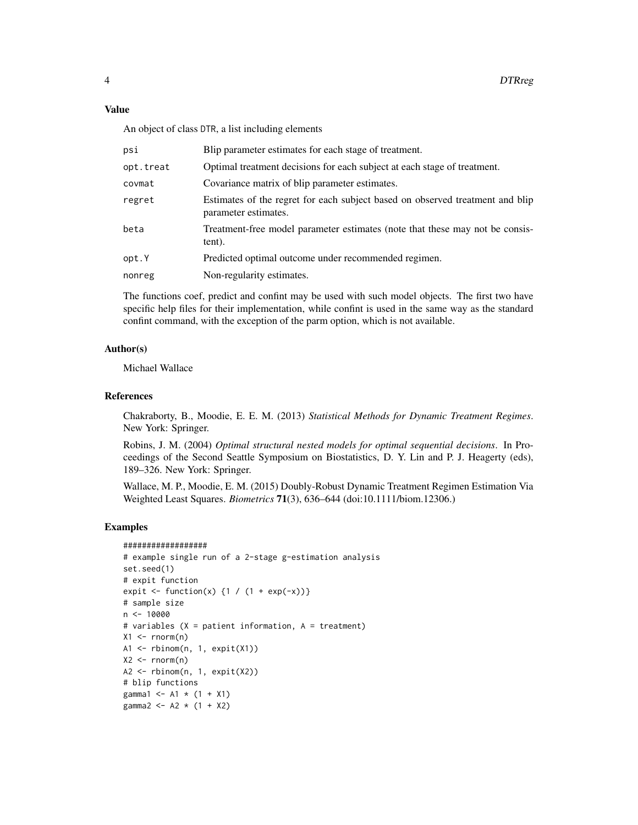An object of class DTR, a list including elements

| psi       | Blip parameter estimates for each stage of treatment.                                                 |
|-----------|-------------------------------------------------------------------------------------------------------|
| opt.treat | Optimal treatment decisions for each subject at each stage of treatment.                              |
| covmat    | Covariance matrix of blip parameter estimates.                                                        |
| regret    | Estimates of the regret for each subject based on observed treatment and blip<br>parameter estimates. |
| beta      | Treatment-free model parameter estimates (note that these may not be consis-<br>tent).                |
| opt.Y     | Predicted optimal outcome under recommended regimen.                                                  |
| nonreg    | Non-regularity estimates.                                                                             |

The functions coef, predict and confint may be used with such model objects. The first two have specific help files for their implementation, while confint is used in the same way as the standard confint command, with the exception of the parm option, which is not available.

#### Author(s)

Michael Wallace

### References

Chakraborty, B., Moodie, E. E. M. (2013) *Statistical Methods for Dynamic Treatment Regimes*. New York: Springer.

Robins, J. M. (2004) *Optimal structural nested models for optimal sequential decisions*. In Proceedings of the Second Seattle Symposium on Biostatistics, D. Y. Lin and P. J. Heagerty (eds), 189–326. New York: Springer.

Wallace, M. P., Moodie, E. M. (2015) Doubly-Robust Dynamic Treatment Regimen Estimation Via Weighted Least Squares. *Biometrics* 71(3), 636–644 (doi:10.1111/biom.12306.)

#### Examples

```
##################
# example single run of a 2-stage g-estimation analysis
set.seed(1)
# expit function
expit <- function(x) {1 / (1 + \exp(-x))}
# sample size
n <- 10000
# variables (X = patient information, A = treatment)
X1 \leftarrow \text{rnorm}(n)A1 <- rbinom(n, 1, expit(X1))
X2 \leq -\text{rnorm}(n)A2 \leftarrow rbinom(n, 1, expit(X2))
# blip functions
gamma1 <- A1 * (1 + X1)
gamma2 <- A2 * (1 + X2)
```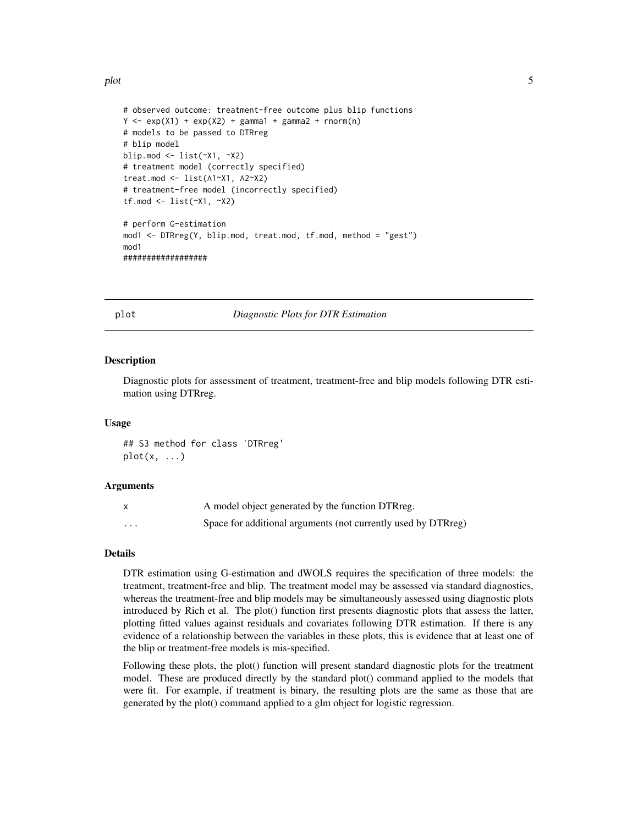<span id="page-4-0"></span>plot 5

```
# observed outcome: treatment-free outcome plus blip functions
Y \leq - \exp(X1) + \exp(X2) + \text{gamma1} + \text{gamma2} + \text{gamma2} + \text{norm(n)}# models to be passed to DTRreg
# blip model
blip.mod <- list(~X1, ~X2)
# treatment model (correctly specified)
treat.mod <- list(A1~X1, A2~X2)
# treatment-free model (incorrectly specified)
tf.mod <- list(~X1, ~X2)
# perform G-estimation
mod1 <- DTRreg(Y, blip.mod, treat.mod, tf.mod, method = "gest")
mod1
##################
```
plot *Diagnostic Plots for DTR Estimation*

#### Description

Diagnostic plots for assessment of treatment, treatment-free and blip models following DTR estimation using DTRreg.

#### Usage

## S3 method for class 'DTRreg'  $plot(x, \ldots)$ 

#### Arguments

|   | A model object generated by the function DTRreg.              |
|---|---------------------------------------------------------------|
| . | Space for additional arguments (not currently used by DTRreg) |

### Details

DTR estimation using G-estimation and dWOLS requires the specification of three models: the treatment, treatment-free and blip. The treatment model may be assessed via standard diagnostics, whereas the treatment-free and blip models may be simultaneously assessed using diagnostic plots introduced by Rich et al. The plot() function first presents diagnostic plots that assess the latter, plotting fitted values against residuals and covariates following DTR estimation. If there is any evidence of a relationship between the variables in these plots, this is evidence that at least one of the blip or treatment-free models is mis-specified.

Following these plots, the plot() function will present standard diagnostic plots for the treatment model. These are produced directly by the standard plot() command applied to the models that were fit. For example, if treatment is binary, the resulting plots are the same as those that are generated by the plot() command applied to a glm object for logistic regression.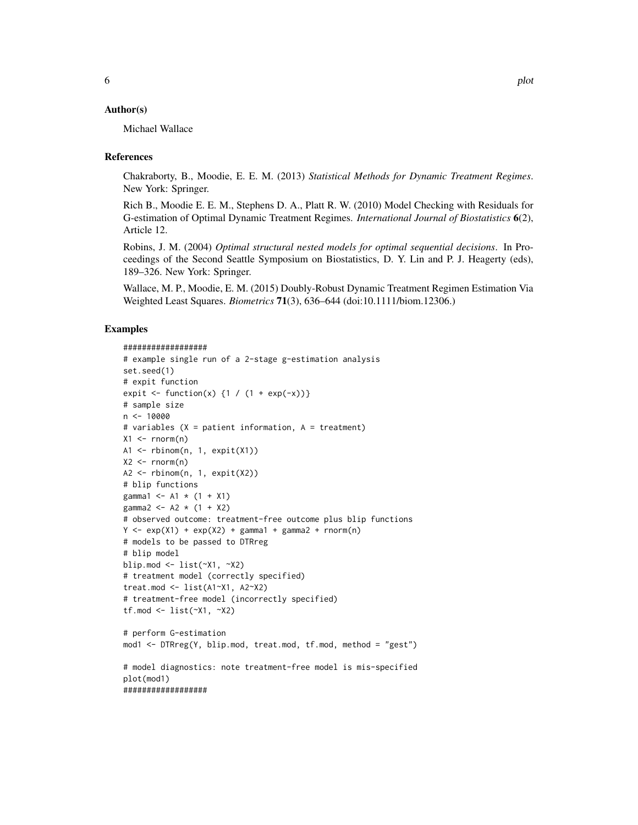#### Author(s)

Michael Wallace

#### References

Chakraborty, B., Moodie, E. E. M. (2013) *Statistical Methods for Dynamic Treatment Regimes*. New York: Springer.

Rich B., Moodie E. E. M., Stephens D. A., Platt R. W. (2010) Model Checking with Residuals for G-estimation of Optimal Dynamic Treatment Regimes. *International Journal of Biostatistics* 6(2), Article 12.

Robins, J. M. (2004) *Optimal structural nested models for optimal sequential decisions*. In Proceedings of the Second Seattle Symposium on Biostatistics, D. Y. Lin and P. J. Heagerty (eds), 189–326. New York: Springer.

Wallace, M. P., Moodie, E. M. (2015) Doubly-Robust Dynamic Treatment Regimen Estimation Via Weighted Least Squares. *Biometrics* 71(3), 636–644 (doi:10.1111/biom.12306.)

#### Examples

```
##################
```

```
# example single run of a 2-stage g-estimation analysis
set.seed(1)
# expit function
expit \leftarrow function(x) {1 / (1 + exp(-x))}
# sample size
n < -10000# variables (X = patient information, A = treatment)
X1 \leftarrow \text{rnorm}(n)A1 <- rbinom(n, 1, expit(X1))
X2 \le - rnorm(n)A2 <- rbinom(n, 1, expit(X2))
# blip functions
gamma1 <- A1 * (1 + X1)gamma2 <- A2 * (1 + X2)# observed outcome: treatment-free outcome plus blip functions
Y \le - \exp(X1) + \exp(X2) + \text{gamma1} + \text{gamma2} + \text{gamma2}# models to be passed to DTRreg
# blip model
blip.mod <- list(~X1, ~X2)
# treatment model (correctly specified)
treat.mod <- list(A1~X1, A2~X2)
# treatment-free model (incorrectly specified)
tf.mod \le list(\simX1, \simX2)
# perform G-estimation
mod1 <- DTRreg(Y, blip.mod, treat.mod, tf.mod, method = "gest")
# model diagnostics: note treatment-free model is mis-specified
plot(mod1)
##################
```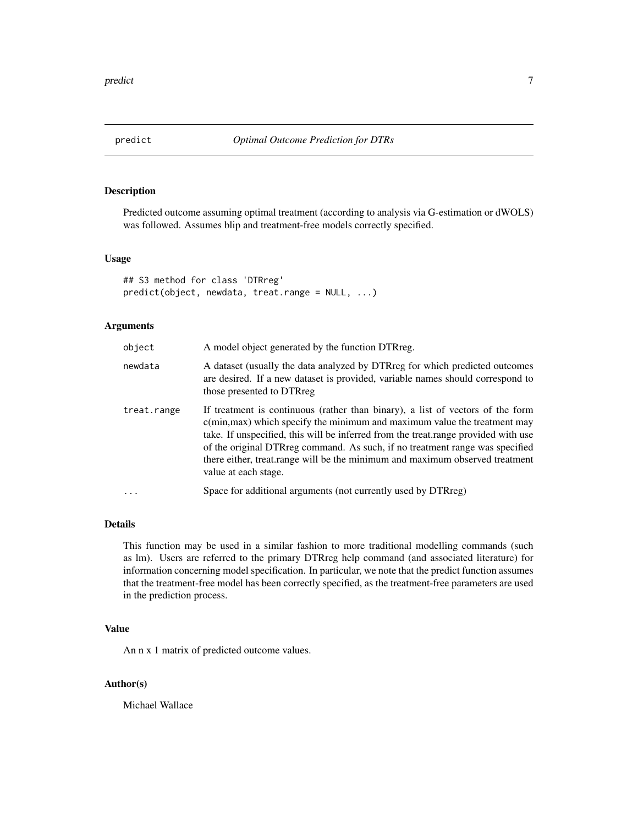<span id="page-6-0"></span>

# Description

Predicted outcome assuming optimal treatment (according to analysis via G-estimation or dWOLS) was followed. Assumes blip and treatment-free models correctly specified.

#### Usage

## S3 method for class 'DTRreg' predict(object, newdata, treat.range = NULL, ...)

# Arguments

| object      | A model object generated by the function DTRreg.                                                                                                                                                                                                                                                                                                                                                                                                  |
|-------------|---------------------------------------------------------------------------------------------------------------------------------------------------------------------------------------------------------------------------------------------------------------------------------------------------------------------------------------------------------------------------------------------------------------------------------------------------|
| newdata     | A dataset (usually the data analyzed by DTRreg for which predicted outcomes<br>are desired. If a new dataset is provided, variable names should correspond to<br>those presented to DTRreg                                                                                                                                                                                                                                                        |
| treat.range | If treatment is continuous (rather than binary), a list of vectors of the form<br>$c(\text{min,max})$ which specify the minimum and maximum value the treatment may<br>take. If unspecified, this will be inferred from the treat range provided with use<br>of the original DTRreg command. As such, if no treatment range was specified<br>there either, treat.range will be the minimum and maximum observed treatment<br>value at each stage. |
| $\cdots$    | Space for additional arguments (not currently used by DTRreg)                                                                                                                                                                                                                                                                                                                                                                                     |

# Details

This function may be used in a similar fashion to more traditional modelling commands (such as lm). Users are referred to the primary DTRreg help command (and associated literature) for information concerning model specification. In particular, we note that the predict function assumes that the treatment-free model has been correctly specified, as the treatment-free parameters are used in the prediction process.

#### Value

An n x 1 matrix of predicted outcome values.

# Author(s)

Michael Wallace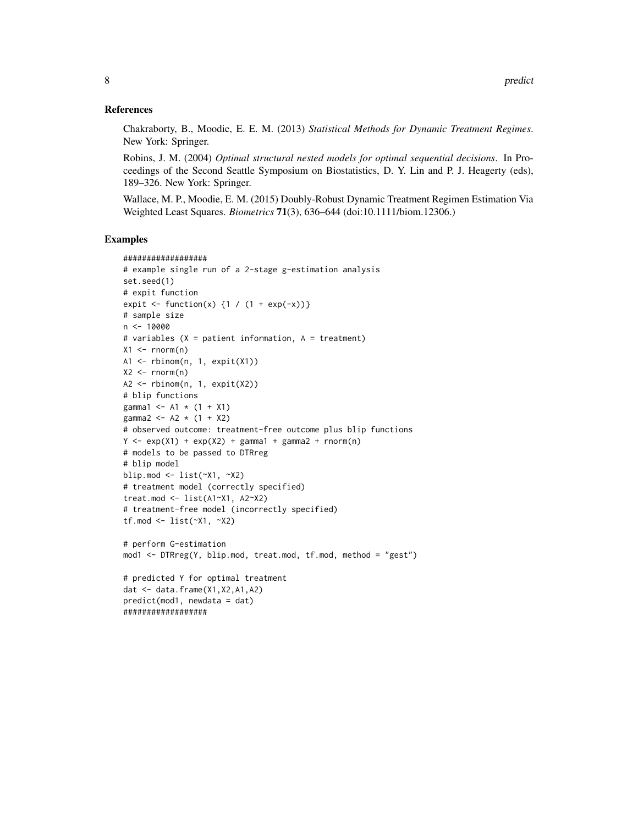#### References

Chakraborty, B., Moodie, E. E. M. (2013) *Statistical Methods for Dynamic Treatment Regimes*. New York: Springer.

Robins, J. M. (2004) *Optimal structural nested models for optimal sequential decisions*. In Proceedings of the Second Seattle Symposium on Biostatistics, D. Y. Lin and P. J. Heagerty (eds), 189–326. New York: Springer.

Wallace, M. P., Moodie, E. M. (2015) Doubly-Robust Dynamic Treatment Regimen Estimation Via Weighted Least Squares. *Biometrics* 71(3), 636–644 (doi:10.1111/biom.12306.)

# Examples

```
##################
# example single run of a 2-stage g-estimation analysis
set.seed(1)
# expit function
expit \leftarrow function(x) {1 / (1 + exp(-x))}
# sample size
n < - 10000# variables (X = patient information, A = treatment)
X1 \leq -\text{rnorm}(n)A1 <- rbinom(n, 1, expit(X1))
X2 \leq -rnorm(n)A2 <- rbinom(n, 1, expit(X2))
# blip functions
gamma1 <- A1 * (1 + X1)gamma2 <- A2 * (1 + X2)# observed outcome: treatment-free outcome plus blip functions
Y \le - \exp(X1) + \exp(X2) + \text{gamma1} + \text{gamma2} + \text{norm(n)}# models to be passed to DTRreg
# blip model
blip.mod <- list(~X1, ~X2)
# treatment model (correctly specified)
treat.mod \le list(A1~X1, A2~X2)
# treatment-free model (incorrectly specified)
tf.mod <- list(~X1, ~X2)
# perform G-estimation
mod1 <- DTRreg(Y, blip.mod, treat.mod, tf.mod, method = "gest")
# predicted Y for optimal treatment
dat <- data.frame(X1,X2,A1,A2)
predict(mod1, newdata = dat)
##################
```